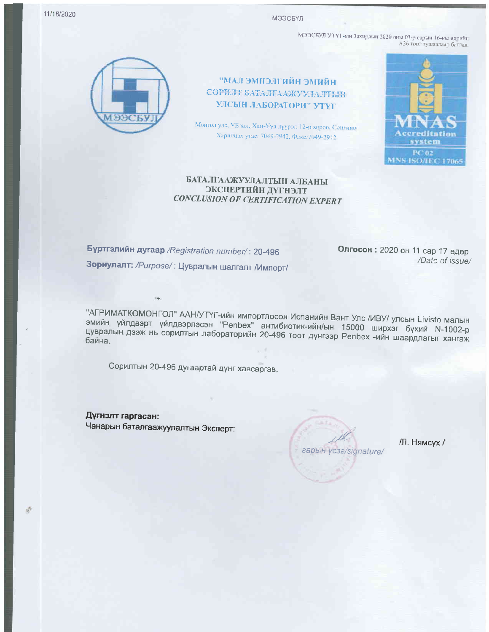11/16/2020

МЭЭСБҮЛ

МЭЭСБУЛ УТҮГ-ын Захирлын 2020 оны 03-р сарын 16-ны өдрийн АЗ6 тоот тушаалаар батлав.



НЙИИС НЙИЛГСНМС ПАМ" СОРИЛТ БАТАЛГААЖУУЛАЛТЫН УЛСЫН ЛАБОРАТОРИ" УТҮГ

Монгол улс, УБ хот, Хан-Уул дүүрэг, 12-р хороо, Сонгино-Харилцах утас: 7049-2942, Факс: 7049-2942



## БАТАЛГААЖУУЛАЛТЫН АЛБАНЫ ЭКСПЕРТИЙН ДҮГНЭЛТ **CONCLUSION OF CERTIFICATION EXPERT**

Буртгэлийн дугаар /Registration number/: 20-496 Зориулалт: /Purpose/: Цувралын шалгалт /Импорт/

Олгосон: 2020 он 11 сар 17 өдөр /Date of issue/

"АГРИМАТКОМОНГОЛ" ААН/УТҮГ-ийн импортлосон Испанийн Вант Улс /ИВУ/ улсын Livisto малын эмийн үйлдвэрт үйлдвэрлэсэн "Penbex" антибиотик-ийн/ын 15000 ширхэг бүхий N-1002-р цувралын дээж нь сорилтын лабораторийн 20-496 тоот дүнгээр Penbex -ийн шаардлагыг хангаж

Сорилтын 20-496 дугаартай дүнг хавсаргав.

Дүгнэлт гаргасан: Чанарын баталгаажуулалтын Эксперт:

гарын ycaa/signature/

/Л. Нямсух /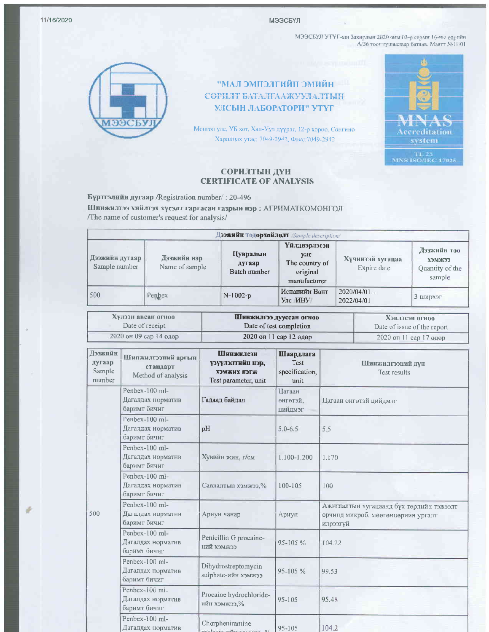11/16/2020

МЭЭСБҮЛ

МЭЭСБУЛ УТҮГ-ын Захирлын 2020 оны 03-р сарын 16-ны өдрийн $A/36$ тоог тушаалаар батлав. Маятт  $N\!\!\pm\!11/01$ 



ИМИИ ЭМИЭЛГИЙН ЭМИЙН СОРИЛТ БАТАЛГААЖУУЛАЛТЫН УЛСЫН ЛАБОРАТОРИ" УТҮГ

Монгол улс, УБ хот, Хан-Уул дүүрэг, 12-р хороо, Сонгино Харилцах утас: 7049-2942, Факс: 7049-2942



## СОРИЛТЫН ДҮН **CERTIFICATE OF ANALYSIS**

Бүртгэлийн дугаар /Registration number/: 20-496

Шинжилгээ хийлгэх хүсэлт гаргасан газрын нэр : АГРИМАТКОМОНГОЛ /The name of customer's request for analysis/

| Дээжийн тодорхойлолт Sample description/ |                               |                                    |                                                                          |                                 |                                                           |
|------------------------------------------|-------------------------------|------------------------------------|--------------------------------------------------------------------------|---------------------------------|-----------------------------------------------------------|
| Дээжийн дугаар<br>Sample number          | Дээжийн нэр<br>Name of sample | Цувралын<br>дугаар<br>Batch number | <b>Үйлдвэрлэсэн</b><br>улс<br>The country of<br>original<br>manufacturer | Хүчинтэй хугацаа<br>Expire date | Дээжийн тоо<br><b>ЕЕЖМЕХ</b><br>Quantity of the<br>sample |
| 500                                      | Penbex                        | $N-1002-p$                         | Испанийн Вант<br>Улс HBY                                                 | $2020/04/01 -$<br>2022/04/01    | 3 ширхэг                                                  |

| Хулээн авсан огноо |                        | Шинжилгээ дууссан огноо | Хэвлэсэн огноо                                                                                              |  |
|--------------------|------------------------|-------------------------|-------------------------------------------------------------------------------------------------------------|--|
|                    | Date of receipt        | Date of test completion | Date of issue of the report                                                                                 |  |
|                    | 2020 он 09 сар 14 өдөр | 2020 он 11 сар 12 өдөр  | $\frac{2020 \text{ on } 11 \text{ cap } 17 \text{ eqap}}{2020 \text{ on } 11 \text{ cap } 17 \text{ eqap}}$ |  |

| Дээжийн<br>дугаар<br>Sample<br>number | Шинжилгээний аргын<br>стандарт<br>Method of analysis   | Шинжилсэн<br>үзүүлэлтийн нэр,<br>ХЭМЖИХ НЭГЖ<br>Test parameter, unit       | Шаардлага<br>Test<br>specification,<br>unit | <b>Шинжилгээний дүн</b><br>Test results                                                    |
|---------------------------------------|--------------------------------------------------------|----------------------------------------------------------------------------|---------------------------------------------|--------------------------------------------------------------------------------------------|
|                                       | Penbex-100 ml-<br>Дагалдах норматив<br>баримт бичиг    | Гадаад байдал                                                              | Цагаан<br>өнгөтэй.<br>цийдмэг               | Цагаан өнгөтэй цийдмэг                                                                     |
|                                       | Penhex-100 $ml$ -<br>Дагалдах норматив<br>баримт бичиг | pH                                                                         | $5.0 - 6.5$                                 | 5.5                                                                                        |
|                                       | Penbex-100 ml-<br>Дагалдах норматив<br>баримт бичиг    | Хувийн жин, г/см                                                           | 1.100-1.200                                 | 1.170                                                                                      |
|                                       | Penbex-100 ml-<br>Дагалдах норматив<br>баримт бичиг    | Савлалтын хэмжээ,%                                                         | 100-105                                     | 100                                                                                        |
| 500                                   | Penbex-100 ml-<br>Дагалдах норматив<br>баримт бичиг    | Ариун чанар                                                                | Ариун                                       | Ажиглалтын хугацаанд бүх төрлийн тэжээлт<br>орчинд микроб, мөөгөнцөрийн ургалт<br>илрээгүй |
|                                       | Penbex-100 ml-<br>Дагалдах норматив<br>баримт бичиг    | Penicillin G procaine-<br>ний хэмжээ                                       | 95-105%                                     | 104.22                                                                                     |
|                                       | Penbex-100 ml-<br>Дагалдах норматив<br>баримт бичиг    | Dihydrostreptomycin<br>sulphate-ийн хэмжээ                                 | $95 - 105 \%$                               | 99.53                                                                                      |
|                                       | Penbex-100 mi-<br>Дагалдах норматив<br>баримт бичиг    | Procaine hydrochloride-<br>ийн хэмжээ,%                                    | $95 - 105$                                  | 95.48                                                                                      |
|                                       | Penbex-100 ml-<br>Дагалдах норматив                    | Chorpheniramine<br>$\frac{1}{2}$ 95-105<br>the contract of the contract of |                                             | 104.2                                                                                      |